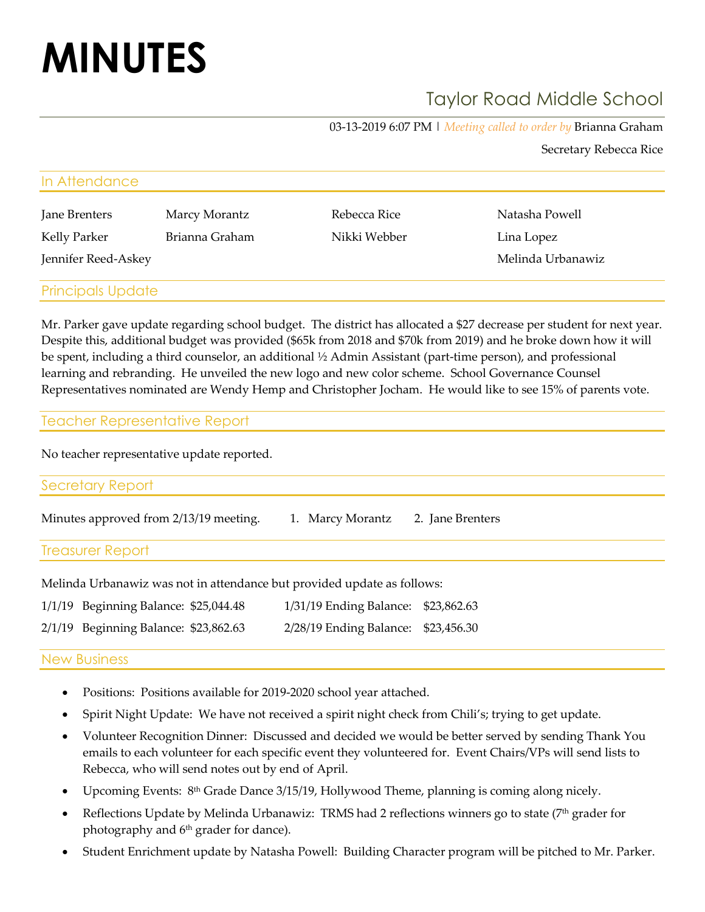# **MINUTES**

# Taylor Road Middle School

03-13-2019 6:07 PM | *Meeting called to order by* Brianna Graham

Secretary Rebecca Rice

| In Attendance       |                |              |                   |  |  |  |  |
|---------------------|----------------|--------------|-------------------|--|--|--|--|
| Jane Brenters       | Marcy Morantz  | Rebecca Rice | Natasha Powell    |  |  |  |  |
| Kelly Parker        | Brianna Graham | Nikki Webber | Lina Lopez        |  |  |  |  |
| Jennifer Reed-Askey |                |              | Melinda Urbanawiz |  |  |  |  |
|                     |                |              |                   |  |  |  |  |

## Principals Update

Mr. Parker gave update regarding school budget. The district has allocated a \$27 decrease per student for next year. Despite this, additional budget was provided (\$65k from 2018 and \$70k from 2019) and he broke down how it will be spent, including a third counselor, an additional ½ Admin Assistant (part-time person), and professional learning and rebranding. He unveiled the new logo and new color scheme. School Governance Counsel Representatives nominated are Wendy Hemp and Christopher Jocham. He would like to see 15% of parents vote.

| <b>Teacher Representative Report</b> |
|--------------------------------------|
|                                      |

No teacher representative update reported.

| $\sim$ $\sim$ $\sim$ $\sim$ $\sim$ |  |  |
|------------------------------------|--|--|
|                                    |  |  |

Minutes approved from 2/13/19 meeting. 1. Marcy Morantz 2. Jane Brenters

Treasurer Report

Melinda Urbanawiz was not in attendance but provided update as follows:

| $1/1/19$ Beginning Balance: \$25,044.48 | 1/31/19 Ending Balance: \$23,862.63 |  |
|-----------------------------------------|-------------------------------------|--|
| 2/1/19 Beginning Balance: \$23,862.63   | 2/28/19 Ending Balance: \$23,456.30 |  |

### New Business

- Positions: Positions available for 2019-2020 school year attached.
- Spirit Night Update: We have not received a spirit night check from Chili's; trying to get update.
- Volunteer Recognition Dinner: Discussed and decided we would be better served by sending Thank You emails to each volunteer for each specific event they volunteered for. Event Chairs/VPs will send lists to Rebecca, who will send notes out by end of April.
- Upcoming Events: 8<sup>th</sup> Grade Dance 3/15/19, Hollywood Theme, planning is coming along nicely.
- Reflections Update by Melinda Urbanawiz: TRMS had 2 reflections winners go to state  $(7<sup>th</sup> grader$  for photography and 6<sup>th</sup> grader for dance).
- Student Enrichment update by Natasha Powell: Building Character program will be pitched to Mr. Parker.